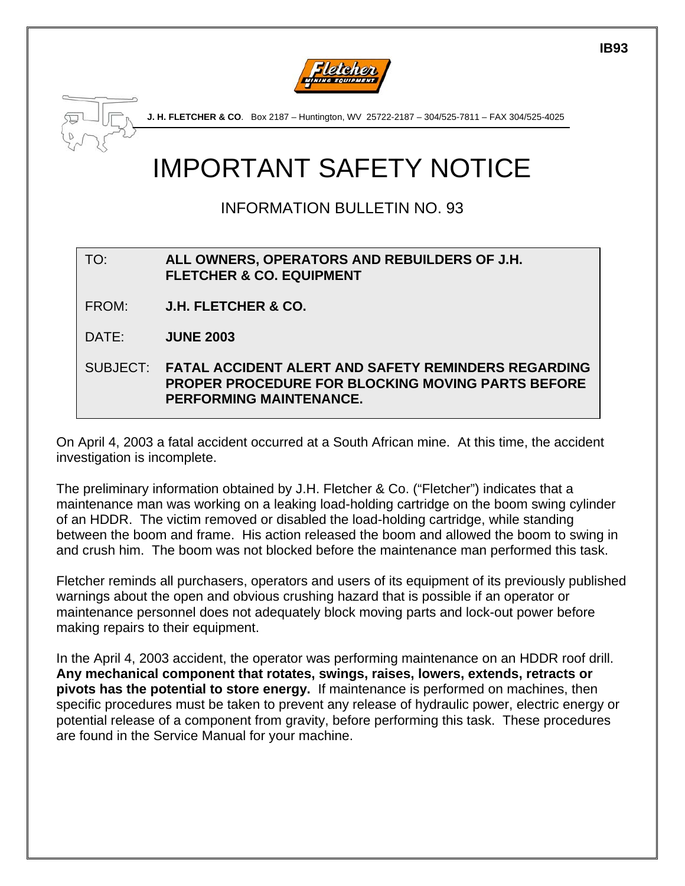



**J. H. FLETCHER & CO**. Box 2187 – Huntington, WV 25722-2187 – 304/525-7811 – FAX 304/525-4025

## IMPORTANT SAFETY NOTICE

## INFORMATION BULLETIN NO. 93

TO: **ALL OWNERS, OPERATORS AND REBUILDERS OF J.H. FLETCHER & CO. EQUIPMENT** 

FROM: **J.H. FLETCHER & CO.**

DATE: **JUNE 2003**

SUBJECT: **FATAL ACCIDENT ALERT AND SAFETY REMINDERS REGARDING PROPER PROCEDURE FOR BLOCKING MOVING PARTS BEFORE PERFORMING MAINTENANCE.** 

On April 4, 2003 a fatal accident occurred at a South African mine. At this time, the accident investigation is incomplete.

The preliminary information obtained by J.H. Fletcher & Co. ("Fletcher") indicates that a maintenance man was working on a leaking load-holding cartridge on the boom swing cylinder of an HDDR. The victim removed or disabled the load-holding cartridge, while standing between the boom and frame. His action released the boom and allowed the boom to swing in and crush him. The boom was not blocked before the maintenance man performed this task.

Fletcher reminds all purchasers, operators and users of its equipment of its previously published warnings about the open and obvious crushing hazard that is possible if an operator or maintenance personnel does not adequately block moving parts and lock-out power before making repairs to their equipment.

In the April 4, 2003 accident, the operator was performing maintenance on an HDDR roof drill. **Any mechanical component that rotates, swings, raises, lowers, extends, retracts or pivots has the potential to store energy.** If maintenance is performed on machines, then specific procedures must be taken to prevent any release of hydraulic power, electric energy or potential release of a component from gravity, before performing this task. These procedures are found in the Service Manual for your machine.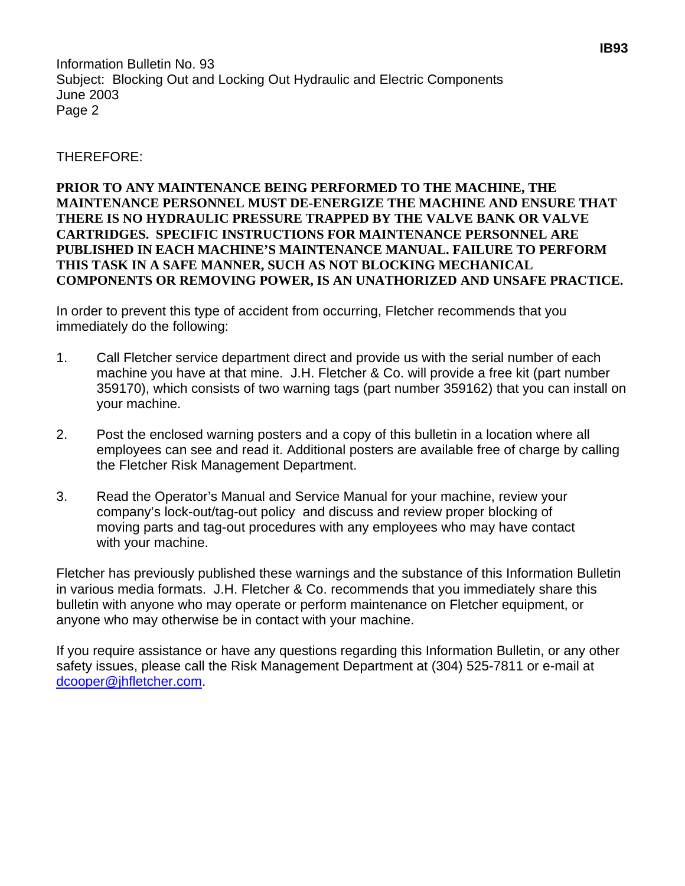Information Bulletin No. 93 Subject: Blocking Out and Locking Out Hydraulic and Electric Components June 2003 Page 2

THEREFORE:

## **PRIOR TO ANY MAINTENANCE BEING PERFORMED TO THE MACHINE, THE MAINTENANCE PERSONNEL MUST DE-ENERGIZE THE MACHINE AND ENSURE THAT THERE IS NO HYDRAULIC PRESSURE TRAPPED BY THE VALVE BANK OR VALVE CARTRIDGES. SPECIFIC INSTRUCTIONS FOR MAINTENANCE PERSONNEL ARE PUBLISHED IN EACH MACHINE'S MAINTENANCE MANUAL. FAILURE TO PERFORM THIS TASK IN A SAFE MANNER, SUCH AS NOT BLOCKING MECHANICAL COMPONENTS OR REMOVING POWER, IS AN UNATHORIZED AND UNSAFE PRACTICE.**

In order to prevent this type of accident from occurring, Fletcher recommends that you immediately do the following:

- 1. Call Fletcher service department direct and provide us with the serial number of each machine you have at that mine. J.H. Fletcher & Co. will provide a free kit (part number 359170), which consists of two warning tags (part number 359162) that you can install on your machine.
- 2. Post the enclosed warning posters and a copy of this bulletin in a location where all employees can see and read it. Additional posters are available free of charge by calling the Fletcher Risk Management Department.
- 3. Read the Operator's Manual and Service Manual for your machine, review your company's lock-out/tag-out policy and discuss and review proper blocking of moving parts and tag-out procedures with any employees who may have contact with your machine.

Fletcher has previously published these warnings and the substance of this Information Bulletin in various media formats. J.H. Fletcher & Co. recommends that you immediately share this bulletin with anyone who may operate or perform maintenance on Fletcher equipment, or anyone who may otherwise be in contact with your machine.

If you require assistance or have any questions regarding this Information Bulletin, or any other safety issues, please call the Risk Management Department at (304) 525-7811 or e-mail at [dcooper@jhfletcher.com.](mailto:dcooper@jhfletcher.com)